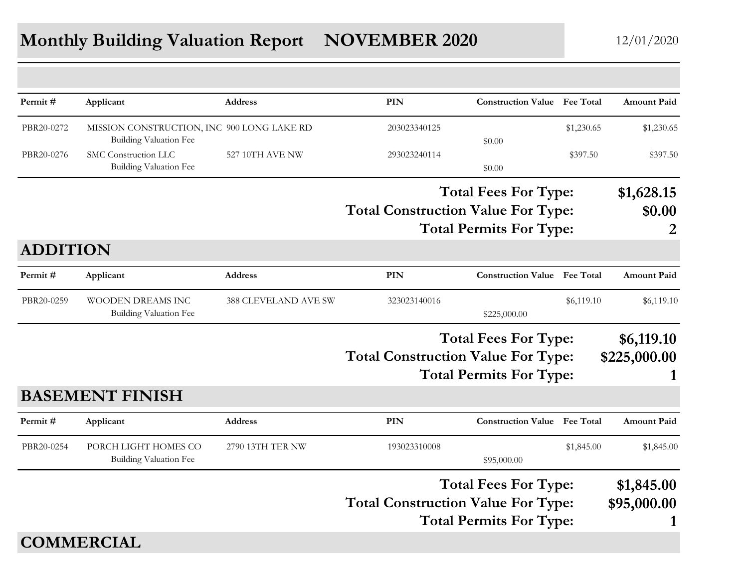## **Monthly Building Valuation Report <b>NOVEMBER 2020** 12/01/2020

| Permit#         | Applicant                                                                   | <b>Address</b>       | <b>PIN</b>                                | <b>Construction Value</b> Fee Total |                  | <b>Amount Paid</b> |
|-----------------|-----------------------------------------------------------------------------|----------------------|-------------------------------------------|-------------------------------------|------------------|--------------------|
| PBR20-0272      | MISSION CONSTRUCTION, INC 900 LONG LAKE RD<br><b>Building Valuation Fee</b> |                      | 203023340125                              | \$0.00                              | \$1,230.65       | \$1,230.65         |
| PBR20-0276      | SMC Construction LLC<br><b>Building Valuation Fee</b>                       | 527 10TH AVE NW      | 293023240114                              | \$0.00                              | \$397.50         | \$397.50           |
|                 |                                                                             |                      |                                           | <b>Total Fees For Type:</b>         |                  | \$1,628.15         |
|                 |                                                                             |                      | <b>Total Construction Value For Type:</b> |                                     |                  | \$0.00             |
|                 |                                                                             |                      |                                           | <b>Total Permits For Type:</b>      |                  | 2                  |
| <b>ADDITION</b> |                                                                             |                      |                                           |                                     |                  |                    |
| Permit#         | Applicant                                                                   | <b>Address</b>       | <b>PIN</b>                                | <b>Construction Value</b>           | <b>Fee Total</b> | <b>Amount Paid</b> |
| PBR20-0259      | <b>WOODEN DREAMS INC</b><br>Building Valuation Fee                          | 388 CLEVELAND AVE SW | 323023140016                              | \$225,000.00                        | \$6,119.10       | \$6,119.10         |
|                 |                                                                             |                      |                                           | <b>Total Fees For Type:</b>         |                  | \$6,119.10         |
|                 |                                                                             |                      | <b>Total Construction Value For Type:</b> |                                     |                  | \$225,000.00       |
|                 |                                                                             |                      |                                           | <b>Total Permits For Type:</b>      |                  |                    |
|                 | <b>BASEMENT FINISH</b>                                                      |                      |                                           |                                     |                  |                    |
| Permit#         | Applicant                                                                   | Address              | PIN                                       | <b>Construction Value</b> Fee Total |                  | <b>Amount Paid</b> |
| PBR20-0254      | PORCH LIGHT HOMES CO<br><b>Building Valuation Fee</b>                       | 2790 13TH TER NW     | 193023310008                              | \$95,000.00                         | \$1,845.00       | \$1,845.00         |
|                 |                                                                             |                      |                                           | <b>Total Fees For Type:</b>         |                  | \$1,845.00         |
|                 |                                                                             |                      | <b>Total Construction Value For Type:</b> |                                     |                  | \$95,000.00        |
|                 |                                                                             |                      |                                           | <b>Total Permits For Type:</b>      |                  | 1                  |
|                 | <b>COMMERCIAL</b>                                                           |                      |                                           |                                     |                  |                    |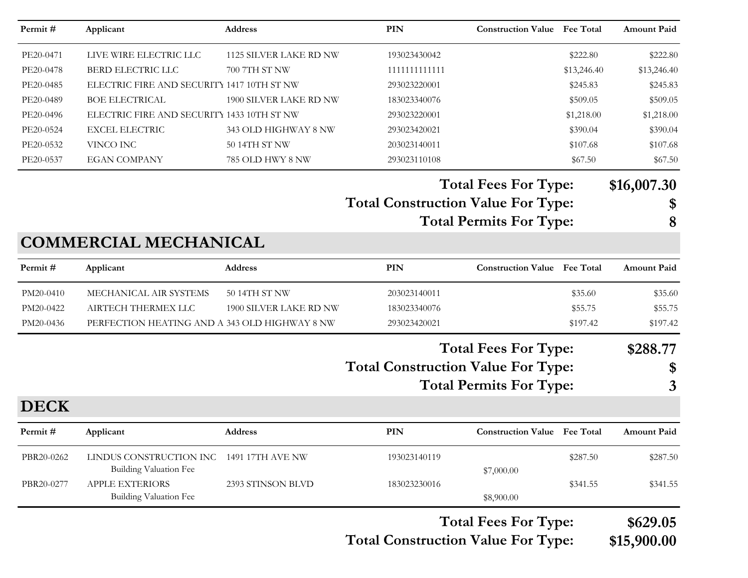| Permit#     | Applicant                                                | Address                | <b>PIN</b>                                | <b>Construction Value</b> Fee Total |             | <b>Amount Paid</b> |
|-------------|----------------------------------------------------------|------------------------|-------------------------------------------|-------------------------------------|-------------|--------------------|
| PE20-0471   | LIVE WIRE ELECTRIC LLC                                   | 1125 SILVER LAKE RD NW | 193023430042                              |                                     | \$222.80    | \$222.80           |
| PE20-0478   | BERD ELECTRIC LLC                                        | 700 7TH ST NW          | 1111111111111                             |                                     | \$13,246.40 | \$13,246.40        |
| PE20-0485   | ELECTRIC FIRE AND SECURITY 1417 10TH ST NW               |                        | 293023220001                              |                                     | \$245.83    | \$245.83           |
| PE20-0489   | <b>BOE ELECTRICAL</b>                                    | 1900 SILVER LAKE RD NW | 183023340076                              |                                     | \$509.05    | \$509.05           |
| PE20-0496   | ELECTRIC FIRE AND SECURITY 1433 10TH ST NW               |                        | 293023220001                              |                                     | \$1,218.00  | \$1,218.00         |
| PE20-0524   | <b>EXCEL ELECTRIC</b>                                    | 343 OLD HIGHWAY 8 NW   | 293023420021                              |                                     | \$390.04    | \$390.04           |
| PE20-0532   | VINCO INC                                                | 50 14TH ST NW          | 203023140011                              |                                     | \$107.68    | \$107.68           |
| PE20-0537   | <b>EGAN COMPANY</b>                                      | 785 OLD HWY 8 NW       | 293023110108                              |                                     | \$67.50     | \$67.50            |
|             |                                                          |                        |                                           | <b>Total Fees For Type:</b>         |             | \$16,007.30        |
|             |                                                          |                        | <b>Total Construction Value For Type:</b> |                                     |             | \$                 |
|             |                                                          |                        |                                           | <b>Total Permits For Type:</b>      |             | 8                  |
|             | <b>COMMERCIAL MECHANICAL</b>                             |                        |                                           |                                     |             |                    |
| Permit#     | Applicant                                                | Address                | <b>PIN</b>                                | <b>Construction Value Fee Total</b> |             | <b>Amount Paid</b> |
| PM20-0410   | MECHANICAL AIR SYSTEMS                                   | 50 14TH ST NW          | 203023140011                              |                                     | \$35.60     | \$35.60            |
| PM20-0422   | AIRTECH THERMEX LLC                                      | 1900 SILVER LAKE RD NW | 183023340076                              |                                     | \$55.75     | \$55.75            |
| PM20-0436   | PERFECTION HEATING AND A 343 OLD HIGHWAY 8 NW            |                        | 293023420021                              |                                     | \$197.42    | \$197.42           |
|             |                                                          |                        |                                           | <b>Total Fees For Type:</b>         |             | \$288.77           |
|             |                                                          |                        | <b>Total Construction Value For Type:</b> |                                     |             | \$                 |
|             |                                                          |                        |                                           |                                     |             |                    |
|             |                                                          |                        |                                           | <b>Total Permits For Type:</b>      |             | 3                  |
| <b>DECK</b> |                                                          |                        |                                           |                                     |             |                    |
| Permit#     | Applicant                                                | Address                | <b>PIN</b>                                | <b>Construction Value</b> Fee Total |             | <b>Amount Paid</b> |
| PBR20-0262  | LINDUS CONSTRUCTION INC<br><b>Building Valuation Fee</b> | 1491 17TH AVE NW       | 193023140119                              |                                     | \$287.50    | \$287.50           |
| PBR20-0277  | APPLE EXTERIORS                                          | 2393 STINSON BLVD      | 183023230016                              | \$7,000.00                          | \$341.55    | \$341.55           |
|             | <b>Building Valuation Fee</b>                            |                        |                                           | \$8,900.00                          |             |                    |
|             |                                                          |                        |                                           | <b>Total Fees For Type:</b>         |             | \$629.05           |
|             |                                                          |                        |                                           |                                     |             |                    |

**Total Construction Value For Type: \$15,900.00**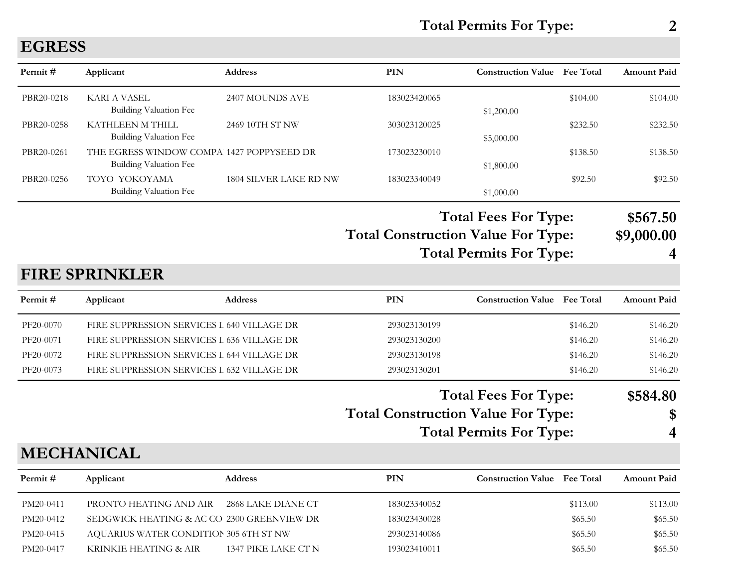**Total Permits For Type: 2**

## **EGRESS**

| Permit#    | Applicant                                                                  | <b>Address</b>                | <b>PIN</b>                                | <b>Construction Value</b> Fee Total                           |          | Amount Paid            |
|------------|----------------------------------------------------------------------------|-------------------------------|-------------------------------------------|---------------------------------------------------------------|----------|------------------------|
| PBR20-0218 | <b>KARI A VASEL</b><br><b>Building Valuation Fee</b>                       | 2407 MOUNDS AVE               | 183023420065                              | \$1,200.00                                                    | \$104.00 | \$104.00               |
| PBR20-0258 | KATHLEEN M THILL<br>Building Valuation Fee                                 | 2469 10TH ST NW               | 303023120025                              | \$5,000.00                                                    | \$232.50 | \$232.50               |
| PBR20-0261 | THE EGRESS WINDOW COMPA 1427 POPPYSEED DR<br><b>Building Valuation Fee</b> |                               | 173023230010                              | \$1,800.00                                                    | \$138.50 | \$138.50               |
| PBR20-0256 | TOYO YOKOYAMA<br>Building Valuation Fee                                    | <b>1804 SILVER LAKE RD NW</b> | 183023340049                              | \$1,000.00                                                    | \$92.50  | \$92.50                |
|            |                                                                            |                               | <b>Total Construction Value For Type:</b> | <b>Total Fees For Type:</b><br><b>Total Permits For Type:</b> |          | \$567.50<br>\$9,000.00 |
|            | <b>FIRE SPRINKLER</b>                                                      |                               |                                           |                                                               |          |                        |
| Permit#    | Applicant                                                                  | Address                       | PIN                                       | <b>Construction Value Fee Total</b>                           |          | <b>Amount Paid</b>     |
| PF20-0070  | FIRE SUPPRESSION SERVICES I 640 VILLAGE DR                                 |                               | 293023130199                              |                                                               | \$146.20 | \$146.20               |
| PF20-0071  | FIRE SUPPRESSION SERVICES I 636 VILLAGE DR                                 |                               | 293023130200                              |                                                               | \$146.20 | \$146.20               |
| PF20-0072  | FIRE SUPPRESSION SERVICES L 644 VILLAGE DR                                 |                               | 293023130198                              |                                                               | \$146.20 | \$146.20               |
| PF20-0073  | FIRE SUPPRESSION SERVICES I 632 VILLAGE DR                                 |                               | 293023130201                              |                                                               | \$146.20 | \$146.20               |
|            |                                                                            |                               |                                           | <b>Total Fees For Type:</b>                                   |          | \$584.80               |
|            |                                                                            |                               | <b>Total Construction Value For Type:</b> |                                                               |          | \$                     |
|            |                                                                            |                               |                                           | <b>Total Permits For Type:</b>                                |          | 4                      |
|            | <b>MECHANICAL</b>                                                          |                               |                                           |                                                               |          |                        |
| Permit#    | Applicant                                                                  | <b>Address</b>                | PIN                                       | <b>Construction Value Fee Total</b>                           |          | Amount Paid            |
| PM20-0411  | PRONTO HEATING AND AIR                                                     | 2868 LAKE DIANE CT            | 183023340052                              |                                                               | \$113.00 | \$113.00               |
| PM20-0412  | SEDGWICK HEATING & AC CO 2300 GREENVIEW DR                                 |                               | 183023430028                              |                                                               | \$65.50  | \$65.50                |
| PM20-0415  | AQUARIUS WATER CONDITION 305 6TH ST NW                                     |                               | 293023140086                              |                                                               | \$65.50  | \$65.50                |
| PM20-0417  | KRINKIE HEATING & AIR                                                      | 1347 PIKE LAKE CT N           | 193023410011                              |                                                               | \$65.50  | \$65.50                |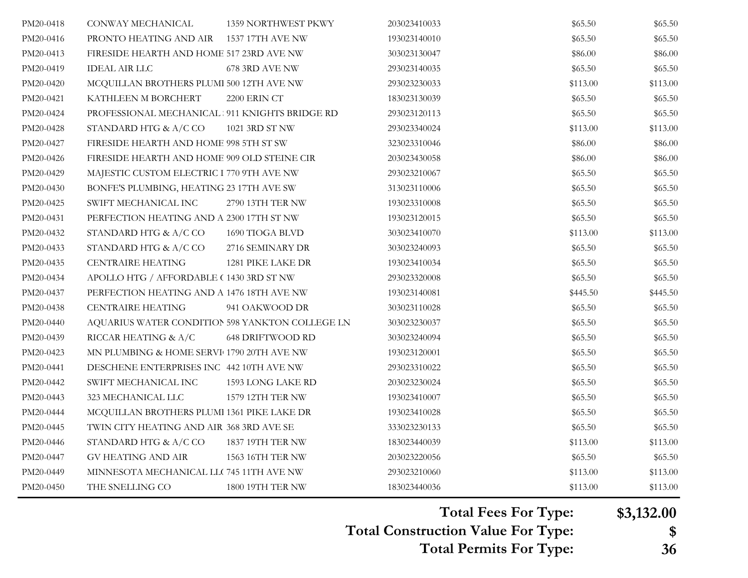| PM20-0418 | CONWAY MECHANICAL                               | <b>1359 NORTHWEST PKWY</b> | 203023410033 | \$65.50  | \$65.50  |
|-----------|-------------------------------------------------|----------------------------|--------------|----------|----------|
| PM20-0416 | PRONTO HEATING AND AIR                          | 1537 17TH AVE NW           | 193023140010 | \$65.50  | \$65.50  |
| PM20-0413 | FIRESIDE HEARTH AND HOME 517 23RD AVE NW        |                            | 303023130047 | \$86.00  | \$86.00  |
| PM20-0419 | <b>IDEAL AIR LLC</b>                            | 678 3RD AVE NW             | 293023140035 | \$65.50  | \$65.50  |
| PM20-0420 | MCQUILLAN BROTHERS PLUMI 500 12TH AVE NW        |                            | 293023230033 | \$113.00 | \$113.00 |
| PM20-0421 | KATHLEEN M BORCHERT                             | 2200 ERIN CT               | 183023130039 | \$65.50  | \$65.50  |
| PM20-0424 | PROFESSIONAL MECHANICAL 911 KNIGHTS BRIDGE RD   |                            | 293023120113 | \$65.50  | \$65.50  |
| PM20-0428 | STANDARD HTG & A/C CO                           | 1021 3RD ST NW             | 293023340024 | \$113.00 | \$113.00 |
| PM20-0427 | FIRESIDE HEARTH AND HOME 998 5TH ST SW          |                            | 323023310046 | \$86.00  | \$86.00  |
| PM20-0426 | FIRESIDE HEARTH AND HOME 909 OLD STEINE CIR     |                            | 203023430058 | \$86.00  | \$86.00  |
| PM20-0429 | MAJESTIC CUSTOM ELECTRIC I 770 9TH AVE NW       |                            | 293023210067 | \$65.50  | \$65.50  |
| PM20-0430 | BONFE'S PLUMBING, HEATING 23 17TH AVE SW        |                            | 313023110006 | \$65.50  | \$65.50  |
| PM20-0425 | SWIFT MECHANICAL INC                            | 2790 13TH TER NW           | 193023310008 | \$65.50  | \$65.50  |
| PM20-0431 | PERFECTION HEATING AND A 2300 17TH ST NW        |                            | 193023120015 | \$65.50  | \$65.50  |
| PM20-0432 | STANDARD HTG & A/C CO                           | 1690 TIOGA BLVD            | 303023410070 | \$113.00 | \$113.00 |
| PM20-0433 | STANDARD HTG & A/C CO                           | 2716 SEMINARY DR           | 303023240093 | \$65.50  | \$65.50  |
| PM20-0435 | <b>CENTRAIRE HEATING</b>                        | 1281 PIKE LAKE DR          | 193023410034 | \$65.50  | \$65.50  |
| PM20-0434 | APOLLO HTG / AFFORDABLE (1430 3RD ST NW         |                            | 293023320008 | \$65.50  | \$65.50  |
| PM20-0437 | PERFECTION HEATING AND A 1476 18TH AVE NW       |                            | 193023140081 | \$445.50 | \$445.50 |
| PM20-0438 | <b>CENTRAIRE HEATING</b>                        | 941 OAKWOOD DR             | 303023110028 | \$65.50  | \$65.50  |
| PM20-0440 | AQUARIUS WATER CONDITION 598 YANKTON COLLEGE LN |                            | 303023230037 | \$65.50  | \$65.50  |
| PM20-0439 | RICCAR HEATING & A/C                            | 648 DRIFTWOOD RD           | 303023240094 | \$65.50  | \$65.50  |
| PM20-0423 | MN PLUMBING & HOME SERVI 1790 20TH AVE NW       |                            | 193023120001 | \$65.50  | \$65.50  |
| PM20-0441 | DESCHENE ENTERPRISES INC 442 10TH AVE NW        |                            | 293023310022 | \$65.50  | \$65.50  |
| PM20-0442 | SWIFT MECHANICAL INC                            | 1593 LONG LAKE RD          | 203023230024 | \$65.50  | \$65.50  |
| PM20-0443 | 323 MECHANICAL LLC                              | 1579 12TH TER NW           | 193023410007 | \$65.50  | \$65.50  |
| PM20-0444 | MCQUILLAN BROTHERS PLUMI 1361 PIKE LAKE DR      |                            | 193023410028 | \$65.50  | \$65.50  |
| PM20-0445 | TWIN CITY HEATING AND AIR 368 3RD AVE SE        |                            | 333023230133 | \$65.50  | \$65.50  |
| PM20-0446 | STANDARD HTG & A/C CO                           | 1837 19TH TER NW           | 183023440039 | \$113.00 | \$113.00 |
| PM20-0447 | GV HEATING AND AIR                              | 1563 16TH TER NW           | 203023220056 | \$65.50  | \$65.50  |
| PM20-0449 | MINNESOTA MECHANICAL LLC 745 11TH AVE NW        |                            | 293023210060 | \$113.00 | \$113.00 |
| PM20-0450 | THE SNELLING CO                                 | 1800 19TH TER NW           | 183023440036 | \$113.00 | \$113.00 |

**Total Construction Value For Type: \$ Total Fees For Type: \$3,132.00 Total Permits For Type: 36**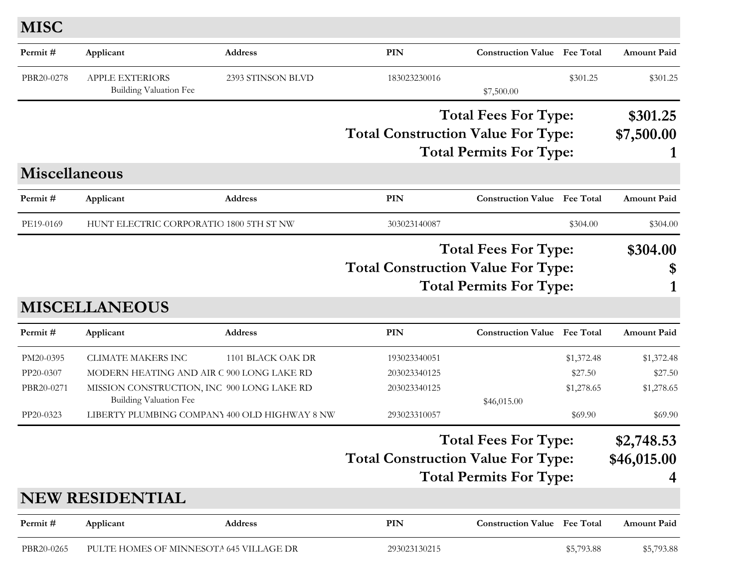**MISC**

| Permit#                                           | Applicant                                                                                                                                                                                              | Address           | <b>PIN</b>                                                   | <b>Construction Value</b> Fee Total                           |                                                | <b>Amount Paid</b>                             |
|---------------------------------------------------|--------------------------------------------------------------------------------------------------------------------------------------------------------------------------------------------------------|-------------------|--------------------------------------------------------------|---------------------------------------------------------------|------------------------------------------------|------------------------------------------------|
| PBR20-0278                                        | <b>APPLE EXTERIORS</b><br><b>Building Valuation Fee</b>                                                                                                                                                | 2393 STINSON BLVD | 183023230016                                                 | \$7,500.00                                                    | \$301.25                                       | \$301.25                                       |
|                                                   |                                                                                                                                                                                                        |                   | <b>Total Construction Value For Type:</b>                    | <b>Total Fees For Type:</b><br><b>Total Permits For Type:</b> |                                                | \$301.25<br>\$7,500.00                         |
| <b>Miscellaneous</b>                              |                                                                                                                                                                                                        |                   |                                                              |                                                               |                                                |                                                |
| Permit#                                           | Applicant                                                                                                                                                                                              | Address           | <b>PIN</b>                                                   | <b>Construction Value</b> Fee Total                           |                                                | <b>Amount Paid</b>                             |
| PE19-0169                                         | HUNT ELECTRIC CORPORATIO 1800 5TH ST NW                                                                                                                                                                |                   | 303023140087                                                 |                                                               | \$304.00                                       | \$304.00                                       |
|                                                   |                                                                                                                                                                                                        |                   | <b>Total Construction Value For Type:</b>                    | <b>Total Fees For Type:</b><br><b>Total Permits For Type:</b> |                                                | \$304.00<br>\$                                 |
|                                                   | <b>MISCELLANEOUS</b>                                                                                                                                                                                   |                   |                                                              |                                                               |                                                |                                                |
| Permit#                                           | Applicant                                                                                                                                                                                              | Address           | <b>PIN</b>                                                   | <b>Construction Value</b> Fee Total                           |                                                | <b>Amount Paid</b>                             |
| PM20-0395<br>PP20-0307<br>PBR20-0271<br>PP20-0323 | <b>CLIMATE MAKERS INC</b><br>MODERN HEATING AND AIR C 900 LONG LAKE RD<br>MISSION CONSTRUCTION, INC 900 LONG LAKE RD<br><b>Building Valuation Fee</b><br>LIBERTY PLUMBING COMPANY 400 OLD HIGHWAY 8 NW | 1101 BLACK OAK DR | 193023340051<br>203023340125<br>203023340125<br>293023310057 | \$46,015.00                                                   | \$1,372.48<br>\$27.50<br>\$1,278.65<br>\$69.90 | \$1,372.48<br>\$27.50<br>\$1,278.65<br>\$69.90 |
|                                                   | <b>NEW RESIDENTIAL</b>                                                                                                                                                                                 |                   | <b>Total Construction Value For Type:</b>                    | <b>Total Fees For Type:</b><br><b>Total Permits For Type:</b> |                                                | \$2,748.53<br>\$46,015.00                      |
|                                                   |                                                                                                                                                                                                        |                   |                                                              |                                                               |                                                |                                                |
| Permit#                                           | Applicant                                                                                                                                                                                              | Address           | PIN                                                          | <b>Construction Value</b> Fee Total                           |                                                | <b>Amount Paid</b>                             |
| PBR20-0265                                        | PULTE HOMES OF MINNESOTA 645 VILLAGE DR                                                                                                                                                                |                   | 293023130215                                                 |                                                               | \$5,793.88                                     | \$5,793.88                                     |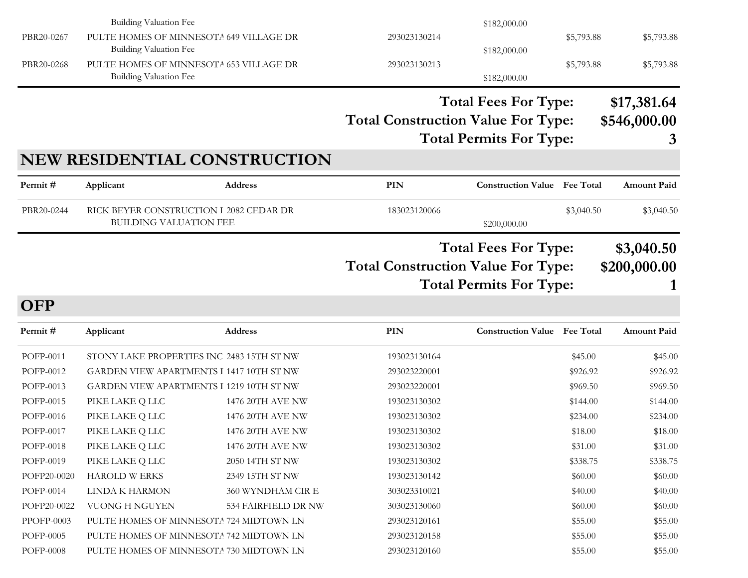|             | Building Valuation Fee                                            |                              |                                           | \$182,000.00                        |            |                    |
|-------------|-------------------------------------------------------------------|------------------------------|-------------------------------------------|-------------------------------------|------------|--------------------|
| PBR20-0267  | PULTE HOMES OF MINNESOTA 649 VILLAGE DR                           |                              | 293023130214                              |                                     | \$5,793.88 | \$5,793.88         |
|             | Building Valuation Fee                                            |                              |                                           | \$182,000.00                        |            |                    |
| PBR20-0268  | PULTE HOMES OF MINNESOTA 653 VILLAGE DR<br>Building Valuation Fee |                              | 293023130213                              | \$182,000.00                        | \$5,793.88 | \$5,793.88         |
|             |                                                                   |                              |                                           |                                     |            |                    |
|             |                                                                   |                              |                                           | <b>Total Fees For Type:</b>         |            | \$17,381.64        |
|             |                                                                   |                              | <b>Total Construction Value For Type:</b> |                                     |            | \$546,000.00       |
|             |                                                                   |                              |                                           | <b>Total Permits For Type:</b>      |            | 3                  |
|             |                                                                   | NEW RESIDENTIAL CONSTRUCTION |                                           |                                     |            |                    |
| Permit#     | Applicant                                                         | <b>Address</b>               | <b>PIN</b>                                | <b>Construction Value</b> Fee Total |            | <b>Amount Paid</b> |
| PBR20-0244  | RICK BEYER CONSTRUCTION I 2082 CEDAR DR                           |                              | 183023120066                              |                                     | \$3,040.50 | \$3,040.50         |
|             | <b>BUILDING VALUATION FEE</b>                                     |                              |                                           | \$200,000.00                        |            |                    |
|             |                                                                   |                              |                                           | <b>Total Fees For Type:</b>         |            | \$3,040.50         |
|             |                                                                   |                              | <b>Total Construction Value For Type:</b> |                                     |            | \$200,000.00       |
|             |                                                                   |                              |                                           | <b>Total Permits For Type:</b>      |            |                    |
|             |                                                                   |                              |                                           |                                     |            | 1                  |
| <b>OFP</b>  |                                                                   |                              |                                           |                                     |            |                    |
| Permit#     | Applicant                                                         | <b>Address</b>               | PIN                                       | <b>Construction Value Fee Total</b> |            | <b>Amount Paid</b> |
| POFP-0011   | STONY LAKE PROPERTIES INC 2483 15TH ST NW                         |                              | 193023130164                              |                                     | \$45.00    | \$45.00            |
| POFP-0012   | GARDEN VIEW APARTMENTS I 1417 10TH ST NW                          |                              | 293023220001                              |                                     | \$926.92   | \$926.92           |
| POFP-0013   | GARDEN VIEW APARTMENTS I 1219 10TH ST NW                          |                              | 293023220001                              |                                     | \$969.50   | \$969.50           |
| POFP-0015   | PIKE LAKE Q LLC                                                   | 1476 20TH AVE NW             | 193023130302                              |                                     | \$144.00   | \$144.00           |
| POFP-0016   | PIKE LAKE Q LLC                                                   | 1476 20TH AVE NW             | 193023130302                              |                                     | \$234.00   | \$234.00           |
| POFP-0017   | PIKE LAKE Q LLC                                                   | 1476 20TH AVE NW             | 193023130302                              |                                     | \$18.00    | \$18.00            |
| POFP-0018   | PIKE LAKE Q LLC                                                   | 1476 20TH AVE NW             | 193023130302                              |                                     | \$31.00    | \$31.00            |
| POFP-0019   | PIKE LAKE Q LLC                                                   | 2050 14TH ST NW              | 193023130302                              |                                     | \$338.75   | \$338.75           |
| POFP20-0020 | <b>HAROLD W ERKS</b>                                              | 2349 15TH ST NW              | 193023130142                              |                                     | \$60.00    | \$60.00            |
| POFP-0014   | LINDA K HARMON                                                    | 360 WYNDHAM CIR E            | 303023310021                              |                                     | \$40.00    | \$40.00            |
| POFP20-0022 | <b>VUONG H NGUYEN</b>                                             | 534 FAIRFIELD DR NW          | 303023130060                              |                                     | \$60.00    | \$60.00            |
| PPOFP-0003  | PULTE HOMES OF MINNESOTA 724 MIDTOWN LN                           |                              | 293023120161                              |                                     | \$55.00    | \$55.00            |
| POFP-0005   | PULTE HOMES OF MINNESOTA 742 MIDTOWN LN                           |                              | 293023120158                              |                                     | \$55.00    | \$55.00            |
| POFP-0008   | PULTE HOMES OF MINNESOTA 730 MIDTOWN LN                           |                              | 293023120160                              |                                     | \$55.00    | \$55.00            |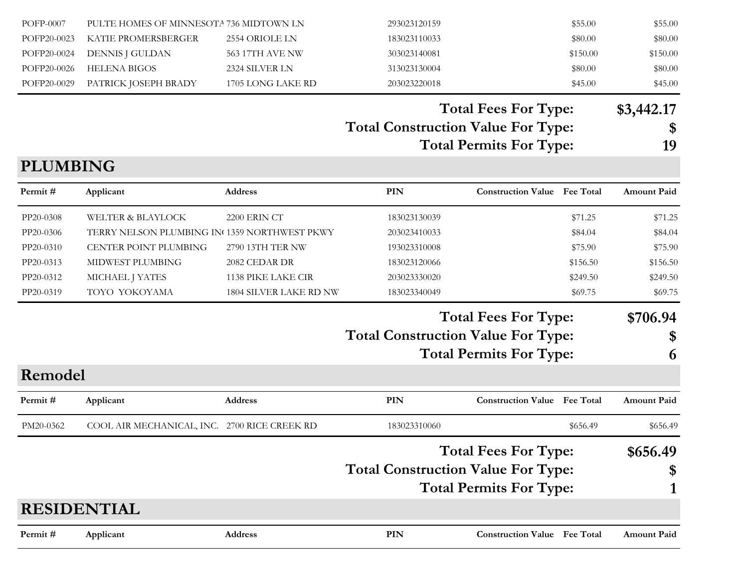| POFP-0007   | PULTE HOMES OF MINNESOTA 736 MIDTOWN LN |                   | 293023120159 | \$55.00  | \$55.00  |
|-------------|-----------------------------------------|-------------------|--------------|----------|----------|
|             | POFP20-0023 KATIE PROMERSBERGER         | 2554 ORIOLE LN    | 183023110033 | \$80.00  | \$80.00  |
|             | POFP20-0024 DENNIS J GULDAN             | 563 17TH AVE NW   | 303023140081 | \$150.00 | \$150.00 |
| POFP20-0026 | HELENA BIGOS                            | 2324 SILVER LN    | 313023130004 | \$80.00  | \$80.00  |
|             | POFP20-0029 PATRICK JOSEPH BRADY        | 1705 LONG LAKE RD | 203023220018 | \$45.00  | \$45.00  |

## **Total Fees For Type: \$3,442.17**

## **Total Construction Value For Type: \$**

**Total Permits For Type: 19**

### **PLUMBING**

| Permit#            | Applicant                                    | <b>Address</b>         | PIN                                       | <b>Construction Value Fee Total</b>           | <b>Amount Paid</b> |
|--------------------|----------------------------------------------|------------------------|-------------------------------------------|-----------------------------------------------|--------------------|
| PP20-0308          | <b>WELTER &amp; BLAYLOCK</b>                 | <b>2200 ERIN CT</b>    | 183023130039                              | \$71.25                                       | \$71.25            |
| PP20-0306          | TERRY NELSON PLUMBING IN 1359 NORTHWEST PKWY |                        | 203023410033                              | \$84.04                                       | \$84.04            |
| PP20-0310          | CENTER POINT PLUMBING                        | 2790 13TH TER NW       | 193023310008                              | \$75.90                                       | \$75.90            |
| PP20-0313          | MIDWEST PLUMBING                             | 2082 CEDAR DR          | 183023120066                              | \$156.50                                      | \$156.50           |
| PP20-0312          | MICHAEL J YATES                              | 1138 PIKE LAKE CIR     | 203023330020                              | \$249.50                                      | \$249.50           |
| PP20-0319          | TOYO YOKOYAMA                                | 1804 SILVER LAKE RD NW | 183023340049                              | \$69.75                                       | \$69.75            |
|                    |                                              |                        |                                           | <b>Total Fees For Type:</b>                   | \$706.94           |
|                    |                                              |                        | <b>Total Construction Value For Type:</b> |                                               | \$                 |
|                    |                                              |                        |                                           | <b>Total Permits For Type:</b>                | 6                  |
| Remodel            |                                              |                        |                                           |                                               |                    |
| Permit#            | Applicant                                    | <b>Address</b>         | <b>PIN</b>                                | <b>Construction Value</b><br><b>Fee Total</b> | <b>Amount Paid</b> |
| PM20-0362          | COOL AIR MECHANICAL, INC. 2700 RICE CREEK RD |                        | 183023310060                              | \$656.49                                      | \$656.49           |
|                    |                                              |                        |                                           | <b>Total Fees For Type:</b>                   | \$656.49           |
|                    |                                              |                        | <b>Total Construction Value For Type:</b> |                                               | \$                 |
|                    |                                              |                        |                                           | <b>Total Permits For Type:</b>                |                    |
| <b>RESIDENTIAL</b> |                                              |                        |                                           |                                               |                    |
| Permit #           | Applicant                                    | Address                | PIN                                       | <b>Construction Value</b> Fee Total           | <b>Amount Paid</b> |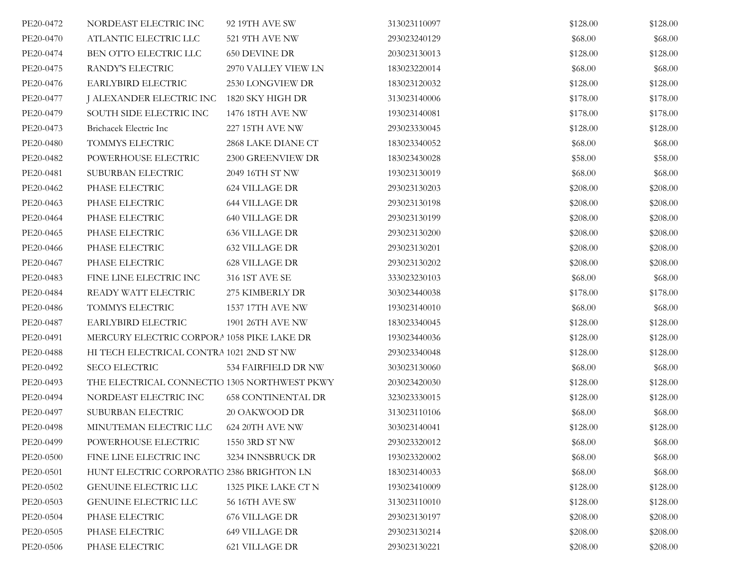| PE20-0472 | NORDEAST ELECTRIC INC                        | 92 19TH AVE SW            | 313023110097 | \$128.00 | \$128.00 |
|-----------|----------------------------------------------|---------------------------|--------------|----------|----------|
| PE20-0470 | ATLANTIC ELECTRIC LLC                        | 521 9TH AVE NW            | 293023240129 | \$68.00  | \$68.00  |
| PE20-0474 | BEN OTTO ELECTRIC LLC                        | <b>650 DEVINE DR</b>      | 203023130013 | \$128.00 | \$128.00 |
| PE20-0475 | RANDY'S ELECTRIC                             | 2970 VALLEY VIEW LN       | 183023220014 | \$68.00  | \$68.00  |
| PE20-0476 | EARLYBIRD ELECTRIC                           | 2530 LONGVIEW DR          | 183023120032 | \$128.00 | \$128.00 |
| PE20-0477 | J ALEXANDER ELECTRIC INC                     | 1820 SKY HIGH DR          | 313023140006 | \$178.00 | \$178.00 |
| PE20-0479 | SOUTH SIDE ELECTRIC INC                      | 1476 18TH AVE NW          | 193023140081 | \$178.00 | \$178.00 |
| PE20-0473 | Brichacek Electric Inc                       | <b>227 15TH AVE NW</b>    | 293023330045 | \$128.00 | \$128.00 |
| PE20-0480 | TOMMYS ELECTRIC                              | 2868 LAKE DIANE CT        | 183023340052 | \$68.00  | \$68.00  |
| PE20-0482 | POWERHOUSE ELECTRIC                          | 2300 GREENVIEW DR         | 183023430028 | \$58.00  | \$58.00  |
| PE20-0481 | SUBURBAN ELECTRIC                            | 2049 16TH ST NW           | 193023130019 | \$68.00  | \$68.00  |
| PE20-0462 | PHASE ELECTRIC                               | 624 VILLAGE DR            | 293023130203 | \$208.00 | \$208.00 |
| PE20-0463 | PHASE ELECTRIC                               | <b>644 VILLAGE DR</b>     | 293023130198 | \$208.00 | \$208.00 |
| PE20-0464 | PHASE ELECTRIC                               | <b>640 VILLAGE DR</b>     | 293023130199 | \$208.00 | \$208.00 |
| PE20-0465 | PHASE ELECTRIC                               | <b>636 VILLAGE DR</b>     | 293023130200 | \$208.00 | \$208.00 |
| PE20-0466 | PHASE ELECTRIC                               | <b>632 VILLAGE DR</b>     | 293023130201 | \$208.00 | \$208.00 |
| PE20-0467 | PHASE ELECTRIC                               | <b>628 VILLAGE DR</b>     | 293023130202 | \$208.00 | \$208.00 |
| PE20-0483 | FINE LINE ELECTRIC INC                       | 316 1ST AVE SE            | 333023230103 | \$68.00  | \$68.00  |
| PE20-0484 | READY WATT ELECTRIC                          | 275 KIMBERLY DR           | 303023440038 | \$178.00 | \$178.00 |
| PE20-0486 | TOMMYS ELECTRIC                              | 1537 17TH AVE NW          | 193023140010 | \$68.00  | \$68.00  |
| PE20-0487 | EARLYBIRD ELECTRIC                           | 1901 26TH AVE NW          | 183023340045 | \$128.00 | \$128.00 |
| PE20-0491 | MERCURY ELECTRIC CORPORA 1058 PIKE LAKE DR   |                           | 193023440036 | \$128.00 | \$128.00 |
| PE20-0488 | HI TECH ELECTRICAL CONTRA 1021 2ND ST NW     |                           | 293023340048 | \$128.00 | \$128.00 |
| PE20-0492 | <b>SECO ELECTRIC</b>                         | 534 FAIRFIELD DR NW       | 303023130060 | \$68.00  | \$68.00  |
| PE20-0493 | THE ELECTRICAL CONNECTIO 1305 NORTHWEST PKWY |                           | 203023420030 | \$128.00 | \$128.00 |
| PE20-0494 | NORDEAST ELECTRIC INC                        | <b>658 CONTINENTAL DR</b> | 323023330015 | \$128.00 | \$128.00 |
| PE20-0497 | SUBURBAN ELECTRIC                            | 20 OAKWOOD DR             | 313023110106 | \$68.00  | \$68.00  |
| PE20-0498 | MINUTEMAN ELECTRIC LLC                       | 624 20TH AVE NW           | 303023140041 | \$128.00 | \$128.00 |
| PE20-0499 | POWERHOUSE ELECTRIC                          | 1550 3RD ST NW            | 293023320012 | \$68.00  | \$68.00  |
| PE20-0500 | FINE LINE ELECTRIC INC                       | 3234 INNSBRUCK DR         | 193023320002 | \$68.00  | \$68.00  |
| PE20-0501 | HUNT ELECTRIC CORPORATIO 2386 BRIGHTON LN    |                           | 183023140033 | \$68.00  | \$68.00  |
| PE20-0502 | <b>GENUINE ELECTRIC LLC</b>                  | 1325 PIKE LAKE CT N       | 193023410009 | \$128.00 | \$128.00 |
| PE20-0503 | <b>GENUINE ELECTRIC LLC</b>                  | <b>56 16TH AVE SW</b>     | 313023110010 | \$128.00 | \$128.00 |
| PE20-0504 | PHASE ELECTRIC                               | 676 VILLAGE DR            | 293023130197 | \$208.00 | \$208.00 |
| PE20-0505 | PHASE ELECTRIC                               | 649 VILLAGE DR            | 293023130214 | \$208.00 | \$208.00 |
| PE20-0506 | PHASE ELECTRIC                               | 621 VILLAGE DR            | 293023130221 | \$208.00 | \$208.00 |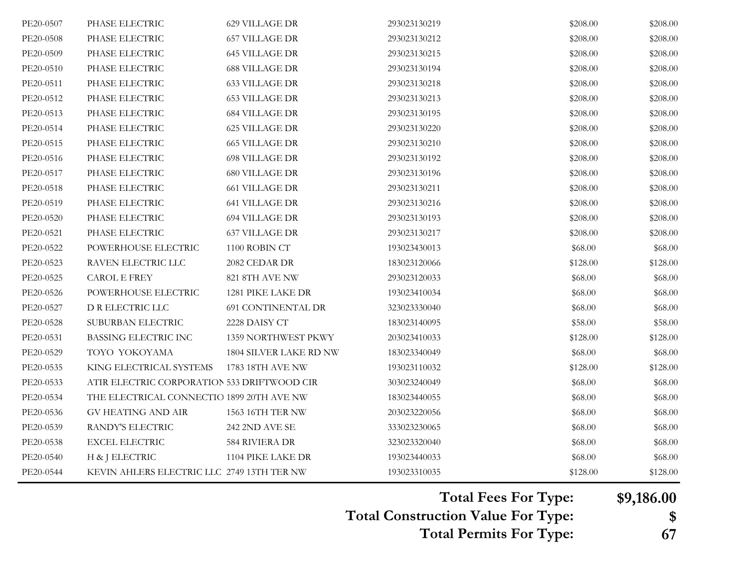| PE20-0507 | PHASE ELECTRIC                              | 629 VILLAGE DR            | 293023130219 | \$208.00 | \$208.00 |
|-----------|---------------------------------------------|---------------------------|--------------|----------|----------|
| PE20-0508 | PHASE ELECTRIC                              | <b>657 VILLAGE DR</b>     | 293023130212 | \$208.00 | \$208.00 |
| PE20-0509 | PHASE ELECTRIC                              | <b>645 VILLAGE DR</b>     | 293023130215 | \$208.00 | \$208.00 |
| PE20-0510 | PHASE ELECTRIC                              | <b>688 VILLAGE DR</b>     | 293023130194 | \$208.00 | \$208.00 |
| PE20-0511 | PHASE ELECTRIC                              | <b>633 VILLAGE DR</b>     | 293023130218 | \$208.00 | \$208.00 |
| PE20-0512 | PHASE ELECTRIC                              | <b>653 VILLAGE DR</b>     | 293023130213 | \$208.00 | \$208.00 |
| PE20-0513 | PHASE ELECTRIC                              | <b>684 VILLAGE DR</b>     | 293023130195 | \$208.00 | \$208.00 |
| PE20-0514 | PHASE ELECTRIC                              | <b>625 VILLAGE DR</b>     | 293023130220 | \$208.00 | \$208.00 |
| PE20-0515 | PHASE ELECTRIC                              | <b>665 VILLAGE DR</b>     | 293023130210 | \$208.00 | \$208.00 |
| PE20-0516 | PHASE ELECTRIC                              | <b>698 VILLAGE DR</b>     | 293023130192 | \$208.00 | \$208.00 |
| PE20-0517 | PHASE ELECTRIC                              | <b>680 VILLAGE DR</b>     | 293023130196 | \$208.00 | \$208.00 |
| PE20-0518 | PHASE ELECTRIC                              | <b>661 VILLAGE DR</b>     | 293023130211 | \$208.00 | \$208.00 |
| PE20-0519 | PHASE ELECTRIC                              | <b>641 VILLAGE DR</b>     | 293023130216 | \$208.00 | \$208.00 |
| PE20-0520 | PHASE ELECTRIC                              | <b>694 VILLAGE DR</b>     | 293023130193 | \$208.00 | \$208.00 |
| PE20-0521 | PHASE ELECTRIC                              | <b>637 VILLAGE DR</b>     | 293023130217 | \$208.00 | \$208.00 |
| PE20-0522 | POWERHOUSE ELECTRIC                         | 1100 ROBIN CT             | 193023430013 | \$68.00  | \$68.00  |
| PE20-0523 | RAVEN ELECTRIC LLC                          | 2082 CEDAR DR             | 183023120066 | \$128.00 | \$128.00 |
| PE20-0525 | CAROL E FREY                                | 821 8TH AVE NW            | 293023120033 | \$68.00  | \$68.00  |
| PE20-0526 | POWERHOUSE ELECTRIC                         | 1281 PIKE LAKE DR         | 193023410034 | \$68.00  | \$68.00  |
| PE20-0527 | D R ELECTRIC LLC                            | <b>691 CONTINENTAL DR</b> | 323023330040 | \$68.00  | \$68.00  |
| PE20-0528 | SUBURBAN ELECTRIC                           | 2228 DAISY CT             | 183023140095 | \$58.00  | \$58.00  |
| PE20-0531 | <b>BASSING ELECTRIC INC</b>                 | 1359 NORTHWEST PKWY       | 203023410033 | \$128.00 | \$128.00 |
| PE20-0529 | TOYO YOKOYAMA                               | 1804 SILVER LAKE RD NW    | 183023340049 | \$68.00  | \$68.00  |
| PE20-0535 | KING ELECTRICAL SYSTEMS                     | 1783 18TH AVE NW          | 193023110032 | \$128.00 | \$128.00 |
| PE20-0533 | ATIR ELECTRIC CORPORATION 533 DRIFTWOOD CIR |                           | 303023240049 | \$68.00  | \$68.00  |
| PE20-0534 | THE ELECTRICAL CONNECTIO 1899 20TH AVE NW   |                           | 183023440055 | \$68.00  | \$68.00  |
| PE20-0536 | <b>GV HEATING AND AIR</b>                   | 1563 16TH TER NW          | 203023220056 | \$68.00  | \$68.00  |
| PE20-0539 | RANDY'S ELECTRIC                            | <b>242 2ND AVE SE</b>     | 333023230065 | \$68.00  | \$68.00  |
| PE20-0538 | <b>EXCEL ELECTRIC</b>                       | 584 RIVIERA DR            | 323023320040 | \$68.00  | \$68.00  |
| PE20-0540 | H & J ELECTRIC                              | 1104 PIKE LAKE DR         | 193023440033 | \$68.00  | \$68.00  |
| PE20-0544 | KEVIN AHLERS ELECTRIC LLC 2749 13TH TER NW  |                           | 193023310035 | \$128.00 | \$128.00 |

**Total Fees For Type: \$9,186.00**

**Total Construction Value For Type: \$**

**Total Permits For Type: 67**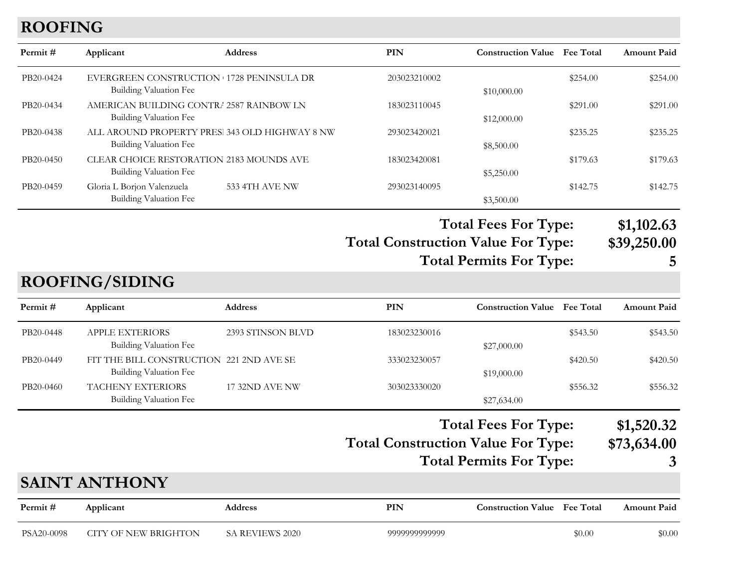## **ROOFING**

| Permit#    | Applicant                                                                       | Address           | <b>PIN</b>                                | <b>Construction Value</b> Fee Total                                 |          | <b>Amount Paid</b>             |
|------------|---------------------------------------------------------------------------------|-------------------|-------------------------------------------|---------------------------------------------------------------------|----------|--------------------------------|
| PB20-0424  | EVERGREEN CONSTRUCTION 1728 PENINSULA DR<br><b>Building Valuation Fee</b>       |                   | 203023210002                              | \$10,000.00                                                         | \$254.00 | \$254.00                       |
| PB20-0434  | AMERICAN BUILDING CONTR/ 2587 RAINBOW LN<br>Building Valuation Fee              |                   | 183023110045                              | \$12,000.00                                                         | \$291.00 | \$291.00                       |
| PB20-0438  | ALL AROUND PROPERTY PRES: 343 OLD HIGHWAY 8 NW<br><b>Building Valuation Fee</b> |                   | 293023420021                              | \$8,500.00                                                          | \$235.25 | \$235.25                       |
| PB20-0450  | CLEAR CHOICE RESTORATION 2183 MOUNDS AVE<br>Building Valuation Fee              |                   | 183023420081                              | \$5,250.00                                                          | \$179.63 | \$179.63                       |
| PB20-0459  | Gloria L Borjon Valenzuela<br>Building Valuation Fee                            | 533 4TH AVE NW    | 293023140095                              | \$3,500.00                                                          | \$142.75 | \$142.75                       |
|            |                                                                                 |                   | <b>Total Construction Value For Type:</b> | <b>Total Fees For Type:</b><br><b>Total Permits For Type:</b>       |          | \$1,102.63<br>\$39,250.00<br>5 |
|            | <b>ROOFING/SIDING</b>                                                           |                   |                                           |                                                                     |          |                                |
| Permit#    | Applicant                                                                       | Address           | <b>PIN</b>                                | <b>Construction Value</b> Fee Total                                 |          | <b>Amount Paid</b>             |
| PB20-0448  | <b>APPLE EXTERIORS</b><br>Building Valuation Fee                                | 2393 STINSON BLVD | 183023230016                              | \$27,000.00                                                         | \$543.50 | \$543.50                       |
| PB20-0449  | FIT THE BILL CONSTRUCTION 221 2ND AVE SE<br><b>Building Valuation Fee</b>       |                   | 333023230057                              | \$19,000.00                                                         | \$420.50 | \$420.50                       |
| PB20-0460  | TACHENY EXTERIORS<br><b>Building Valuation Fee</b>                              | 17 32ND AVE NW    | 303023330020                              | \$27,634.00                                                         | \$556.32 | \$556.32                       |
|            |                                                                                 |                   | <b>Total Construction Value For Type:</b> | <b>Total Fees For Type:</b><br><b>Total Permits For Type:</b><br>ノエ |          | \$1,520.32<br>\$73,634.00<br>3 |
|            | <b>SAINT ANTHONY</b>                                                            |                   |                                           |                                                                     |          |                                |
| Permit#    | Applicant                                                                       | Address           | <b>PIN</b>                                | <b>Construction Value</b> Fee Total                                 |          | <b>Amount Paid</b>             |
| PSA20-0098 | <b>CITY OF NEW BRIGHTON</b>                                                     | SA REVIEWS 2020   | 9999999999999                             |                                                                     | \$0.00   | \$0.00                         |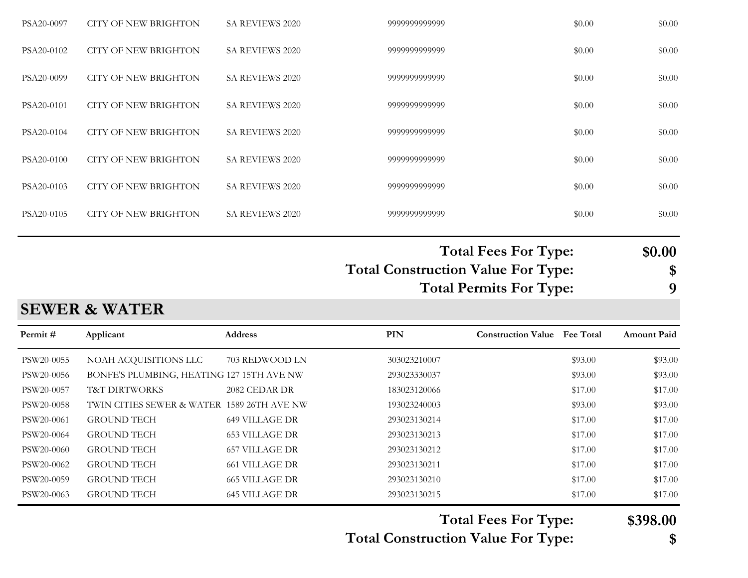| PSA20-0097 | CITY OF NEW BRIGHTON | <b>SA REVIEWS 2020</b> | 9999999999999 | \$0.00 | \$0.00 |
|------------|----------------------|------------------------|---------------|--------|--------|
| PSA20-0102 | CITY OF NEW BRIGHTON | <b>SA REVIEWS 2020</b> | 9999999999999 | \$0.00 | \$0.00 |
| PSA20-0099 | CITY OF NEW BRIGHTON | <b>SA REVIEWS 2020</b> | 9999999999999 | \$0.00 | \$0.00 |
| PSA20-0101 | CITY OF NEW BRIGHTON | <b>SA REVIEWS 2020</b> | 9999999999999 | \$0.00 | \$0.00 |
| PSA20-0104 | CITY OF NEW BRIGHTON | <b>SA REVIEWS 2020</b> | 9999999999999 | \$0.00 | \$0.00 |
| PSA20-0100 | CITY OF NEW BRIGHTON | <b>SA REVIEWS 2020</b> | 9999999999999 | \$0.00 | \$0.00 |
| PSA20-0103 | CITY OF NEW BRIGHTON | <b>SA REVIEWS 2020</b> | 9999999999999 | \$0.00 | \$0.00 |
| PSA20-0105 | CITY OF NEW BRIGHTON | <b>SA REVIEWS 2020</b> | 9999999999999 | \$0.00 | \$0.00 |
|            |                      |                        |               |        |        |

# **Total Fees For Type: \$0.00**

**Total Construction Value For Type: \$ Total Permits For Type: 9**

#### **SEWER & WATER**

| Permit #   | Applicant                                  | <b>Address</b>        | <b>PIN</b>   | <b>Construction Value</b> Fee Total | <b>Amount Paid</b> |
|------------|--------------------------------------------|-----------------------|--------------|-------------------------------------|--------------------|
| PSW20-0055 | NOAH ACQUISITIONS LLC                      | 703 REDWOOD LN        | 303023210007 | \$93.00                             | \$93.00            |
| PSW20-0056 | BONFE'S PLUMBING, HEATING 127 15TH AVE NW  |                       | 293023330037 | \$93.00                             | \$93.00            |
| PSW20-0057 | <b>T&amp;T DIRTWORKS</b>                   | 2082 CEDAR DR         | 183023120066 | \$17.00                             | \$17.00            |
| PSW20-0058 | TWIN CITIES SEWER & WATER 1589 26TH AVE NW |                       | 193023240003 | \$93.00                             | \$93.00            |
| PSW20-0061 | <b>GROUND TECH</b>                         | 649 VILLAGE DR        | 293023130214 | \$17.00                             | \$17.00            |
| PSW20-0064 | <b>GROUND TECH</b>                         | <b>653 VILLAGE DR</b> | 293023130213 | \$17.00                             | \$17.00            |
| PSW20-0060 | <b>GROUND TECH</b>                         | 657 VILLAGE DR        | 293023130212 | \$17.00                             | \$17.00            |
| PSW20-0062 | <b>GROUND TECH</b>                         | <b>661 VILLAGE DR</b> | 293023130211 | \$17.00                             | \$17.00            |
| PSW20-0059 | <b>GROUND TECH</b>                         | <b>665 VILLAGE DR</b> | 293023130210 | \$17.00                             | \$17.00            |
| PSW20-0063 | <b>GROUND TECH</b>                         | 645 VILLAGE DR        | 293023130215 | \$17.00                             | \$17.00            |

**Total Fees For Type: \$398.00**

**Total Construction Value For Type: \$**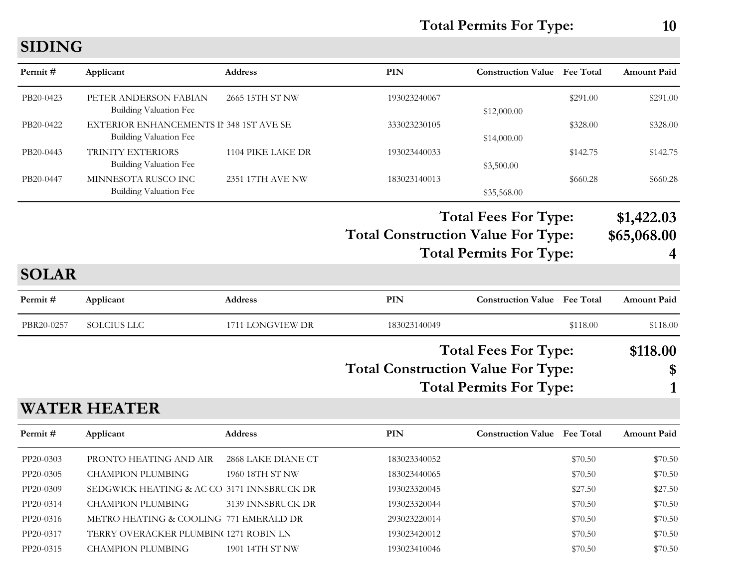**Total Permits For Type: 10**

## **SIDING**

| Permit#      | Applicant                                                                | Address           | PIN                                                                                                        | <b>Construction Value Fee Total</b> |          | <b>Amount Paid</b>             |
|--------------|--------------------------------------------------------------------------|-------------------|------------------------------------------------------------------------------------------------------------|-------------------------------------|----------|--------------------------------|
| PB20-0423    | PETER ANDERSON FABIAN<br><b>Building Valuation Fee</b>                   | 2665 15TH ST NW   | 193023240067                                                                                               | \$12,000.00                         | \$291.00 | \$291.00                       |
| PB20-0422    | <b>EXTERIOR ENHANCEMENTS II 348 1ST AVE SE</b><br>Building Valuation Fee |                   | 333023230105                                                                                               | \$14,000.00                         | \$328.00 | \$328.00                       |
| PB20-0443    | <b>TRINITY EXTERIORS</b><br><b>Building Valuation Fee</b>                | 1104 PIKE LAKE DR | 193023440033                                                                                               | \$3,500.00                          | \$142.75 | \$142.75                       |
| PB20-0447    | MINNESOTA RUSCO INC<br><b>Building Valuation Fee</b>                     | 2351 17TH AVE NW  | 183023140013                                                                                               | \$35,568.00                         | \$660.28 | \$660.28                       |
|              |                                                                          |                   | <b>Total Fees For Type:</b><br><b>Total Construction Value For Type:</b><br><b>Total Permits For Type:</b> |                                     |          | \$1,422.03<br>\$65,068.00<br>4 |
| <b>SOLAR</b> |                                                                          |                   |                                                                                                            |                                     |          |                                |
| Permit#      | Applicant                                                                | Address           | <b>PIN</b>                                                                                                 | <b>Construction Value</b> Fee Total |          | <b>Amount Paid</b>             |
| PBR20-0257   | <b>SOLCIUS LLC</b>                                                       | 1711 LONGVIEW DR  | 183023140049                                                                                               |                                     | \$118.00 | \$118.00                       |
|              |                                                                          |                   | <b>Total Fees For Type:</b><br><b>Total Construction Value For Type:</b><br><b>Total Permits For Type:</b> |                                     |          | \$118.00<br>\$                 |
|              |                                                                          |                   |                                                                                                            |                                     |          |                                |

**WATER HEATER**

| Permit #  | Applicant                                  | <b>Address</b>     | PIN          | <b>Construction Value</b> Fee Total |         | <b>Amount Paid</b> |
|-----------|--------------------------------------------|--------------------|--------------|-------------------------------------|---------|--------------------|
| PP20-0303 | PRONTO HEATING AND AIR                     | 2868 LAKE DIANE CT | 183023340052 |                                     | \$70.50 | \$70.50            |
| PP20-0305 | <b>CHAMPION PLUMBING</b>                   | 1960 18TH ST NW    | 183023440065 |                                     | \$70.50 | \$70.50            |
| PP20-0309 | SEDGWICK HEATING & AC CO 3171 INNSBRUCK DR |                    | 193023320045 |                                     | \$27.50 | \$27.50            |
| PP20-0314 | CHAMPION PLUMBING                          | 3139 INNSBRUCK DR  | 193023320044 |                                     | \$70.50 | \$70.50            |
| PP20-0316 | METRO HEATING & COOLING 771 EMERALD DR     |                    | 293023220014 |                                     | \$70.50 | \$70.50            |
| PP20-0317 | TERRY OVERACKER PLUMBIN( 1271 ROBIN LN     |                    | 193023420012 |                                     | \$70.50 | \$70.50            |
| PP20-0315 | CHAMPION PLUMBING                          | 1901 14TH ST NW    | 193023410046 |                                     | \$70.50 | \$70.50            |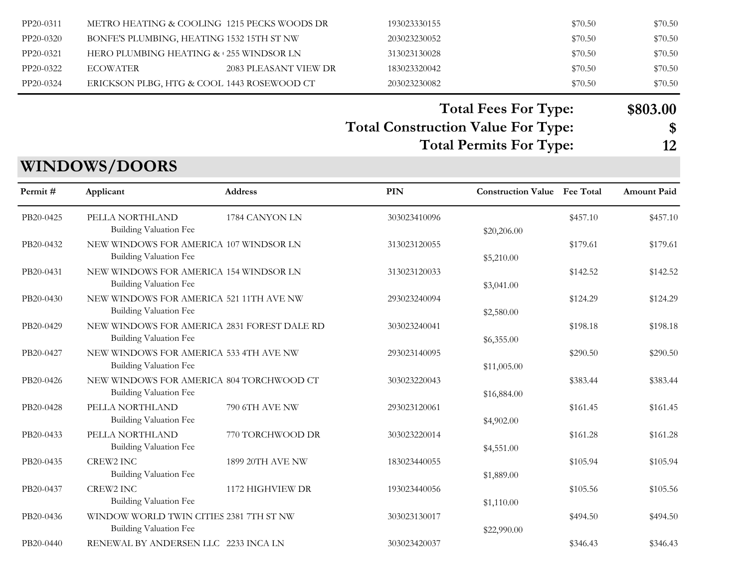| PP20-0311 | METRO HEATING & COOLING 1215 PECKS WOODS DR |                       | 193023330155 | \$70.50 | \$70.50 |
|-----------|---------------------------------------------|-----------------------|--------------|---------|---------|
| PP20-0320 | BONFE'S PLUMBING, HEATING 1532 15TH ST NW   |                       | 203023230052 | \$70.50 | \$70.50 |
| PP20-0321 | HERO PLUMBING HEATING & 255 WINDSOR LN      |                       | 313023130028 | \$70.50 | \$70.50 |
| PP20-0322 | ECOWATER                                    | 2083 PLEASANT VIEW DR | 183023320042 | \$70.50 | \$70.50 |
| PP20-0324 | ERICKSON PLBG, HTG & COOL 1443 ROSEWOOD CT  |                       | 203023230082 | \$70.50 | \$70.50 |

#### **Total Fees For Type: \$803.00**

#### **Total Construction Value For Type: \$ Total Permits For Type: 12**

## **WINDOWS/DOORS**

| Permit #  | Applicant                                                                | <b>Address</b>   | <b>PIN</b>   | <b>Construction Value</b> Fee Total |          | <b>Amount Paid</b> |
|-----------|--------------------------------------------------------------------------|------------------|--------------|-------------------------------------|----------|--------------------|
| PB20-0425 | PELLA NORTHLAND<br>Building Valuation Fee                                | 1784 CANYON LN   | 303023410096 | \$20,206.00                         | \$457.10 | \$457.10           |
| PB20-0432 | NEW WINDOWS FOR AMERICA 107 WINDSOR LN<br>Building Valuation Fee         |                  | 313023120055 | \$5,210.00                          | \$179.61 | \$179.61           |
| PB20-0431 | NEW WINDOWS FOR AMERICA 154 WINDSOR LN<br>Building Valuation Fee         |                  | 313023120033 | \$3,041.00                          | \$142.52 | \$142.52           |
| PB20-0430 | NEW WINDOWS FOR AMERICA 521 11TH AVE NW<br>Building Valuation Fee        |                  | 293023240094 | \$2,580.00                          | \$124.29 | \$124.29           |
| PB20-0429 | NEW WINDOWS FOR AMERICA 2831 FOREST DALE RD<br>Building Valuation Fee    |                  | 303023240041 | \$6,355.00                          | \$198.18 | \$198.18           |
| PB20-0427 | NEW WINDOWS FOR AMERICA 533 4TH AVE NW<br>Building Valuation Fee         |                  | 293023140095 | \$11,005.00                         | \$290.50 | \$290.50           |
| PB20-0426 | NEW WINDOWS FOR AMERICA 804 TORCHWOOD CT<br>Building Valuation Fee       |                  | 303023220043 | \$16,884.00                         | \$383.44 | \$383.44           |
| PB20-0428 | PELLA NORTHLAND<br>Building Valuation Fee                                | 790 6TH AVE NW   | 293023120061 | \$4,902.00                          | \$161.45 | \$161.45           |
| PB20-0433 | PELLA NORTHLAND<br>Building Valuation Fee                                | 770 TORCHWOOD DR | 303023220014 | \$4,551.00                          | \$161.28 | \$161.28           |
| PB20-0435 | <b>CREW2 INC</b><br>Building Valuation Fee                               | 1899 20TH AVE NW | 183023440055 | \$1,889.00                          | \$105.94 | \$105.94           |
| PB20-0437 | <b>CREW2 INC</b><br>Building Valuation Fee                               | 1172 HIGHVIEW DR | 193023440056 | \$1,110.00                          | \$105.56 | \$105.56           |
| PB20-0436 | WINDOW WORLD TWIN CITIES 2381 7TH ST NW<br><b>Building Valuation Fee</b> |                  | 303023130017 | \$22,990.00                         | \$494.50 | \$494.50           |
| PB20-0440 | RENEWAL BY ANDERSEN LLC 2233 INCA LN                                     |                  | 303023420037 |                                     | \$346.43 | \$346.43           |